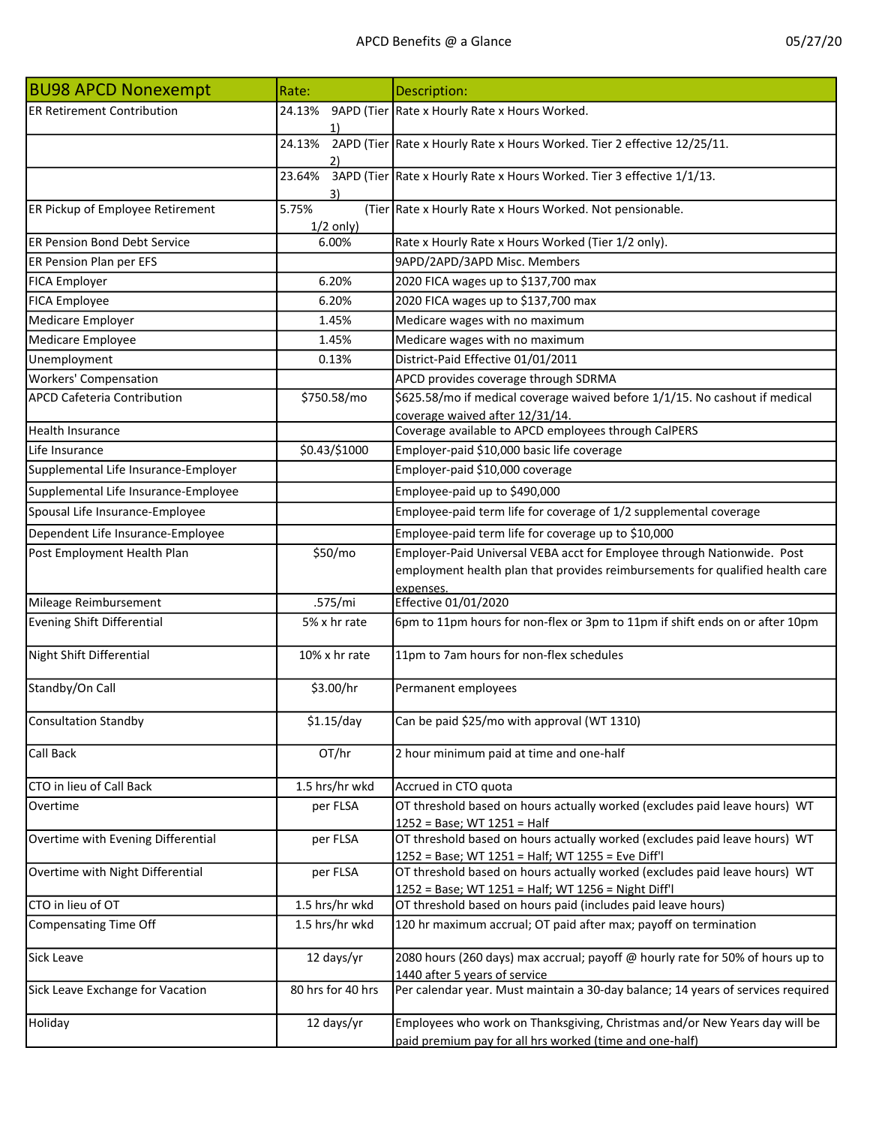| <b>BU98 APCD Nonexempt</b>           | Rate:                | Description:                                                                                                                      |
|--------------------------------------|----------------------|-----------------------------------------------------------------------------------------------------------------------------------|
| <b>ER Retirement Contribution</b>    | 24.13%               | 9APD (Tier Rate x Hourly Rate x Hours Worked.                                                                                     |
|                                      | 1)                   |                                                                                                                                   |
|                                      | 24.13%               | 2APD (Tier Rate x Hourly Rate x Hours Worked. Tier 2 effective 12/25/11.                                                          |
|                                      | 2)                   |                                                                                                                                   |
|                                      | 23.64%<br>3)         | 3APD (Tier Rate x Hourly Rate x Hours Worked. Tier 3 effective 1/1/13.                                                            |
| ER Pickup of Employee Retirement     | 5.75%<br>$1/2$ only) | (Tier Rate x Hourly Rate x Hours Worked. Not pensionable.                                                                         |
| <b>ER Pension Bond Debt Service</b>  | 6.00%                | Rate x Hourly Rate x Hours Worked (Tier 1/2 only).                                                                                |
| ER Pension Plan per EFS              |                      | 9APD/2APD/3APD Misc. Members                                                                                                      |
| <b>FICA Employer</b>                 | 6.20%                | 2020 FICA wages up to \$137,700 max                                                                                               |
| <b>FICA Employee</b>                 | 6.20%                | 2020 FICA wages up to \$137,700 max                                                                                               |
| Medicare Employer                    | 1.45%                | Medicare wages with no maximum                                                                                                    |
| Medicare Employee                    | 1.45%                | Medicare wages with no maximum                                                                                                    |
| Unemployment                         | 0.13%                | District-Paid Effective 01/01/2011                                                                                                |
| <b>Workers' Compensation</b>         |                      | APCD provides coverage through SDRMA                                                                                              |
| <b>APCD Cafeteria Contribution</b>   | \$750.58/mo          | \$625.58/mo if medical coverage waived before 1/1/15. No cashout if medical                                                       |
|                                      |                      | coverage waived after 12/31/14.                                                                                                   |
| <b>Health Insurance</b>              |                      | Coverage available to APCD employees through CalPERS                                                                              |
| Life Insurance                       | \$0.43/\$1000        | Employer-paid \$10,000 basic life coverage                                                                                        |
| Supplemental Life Insurance-Employer |                      | Employer-paid \$10,000 coverage                                                                                                   |
| Supplemental Life Insurance-Employee |                      | Employee-paid up to \$490,000                                                                                                     |
| Spousal Life Insurance-Employee      |                      | Employee-paid term life for coverage of 1/2 supplemental coverage                                                                 |
| Dependent Life Insurance-Employee    |                      | Employee-paid term life for coverage up to \$10,000                                                                               |
| Post Employment Health Plan          | \$50/mo              | Employer-Paid Universal VEBA acct for Employee through Nationwide. Post                                                           |
|                                      |                      | employment health plan that provides reimbursements for qualified health care                                                     |
| Mileage Reimbursement                | .575/mi              | expenses.<br>Effective 01/01/2020                                                                                                 |
| <b>Evening Shift Differential</b>    | 5% x hr rate         | 6pm to 11pm hours for non-flex or 3pm to 11pm if shift ends on or after 10pm                                                      |
|                                      |                      |                                                                                                                                   |
| Night Shift Differential             | 10% x hr rate        | 11pm to 7am hours for non-flex schedules                                                                                          |
| Standby/On Call                      | \$3.00/hr            | Permanent employees                                                                                                               |
| <b>Consultation Standby</b>          | $$1.15$ /day         | Can be paid \$25/mo with approval (WT 1310)                                                                                       |
| Call Back                            | OT/hr                | 2 hour minimum paid at time and one-half                                                                                          |
| CTO in lieu of Call Back             | 1.5 hrs/hr wkd       | Accrued in CTO quota                                                                                                              |
| Overtime                             | per FLSA             | OT threshold based on hours actually worked (excludes paid leave hours) WT                                                        |
|                                      |                      | 1252 = Base; WT 1251 = Half                                                                                                       |
| Overtime with Evening Differential   | per FLSA             | OT threshold based on hours actually worked (excludes paid leave hours) WT                                                        |
|                                      |                      | 1252 = Base; WT 1251 = Half; WT 1255 = Eve Diff'l                                                                                 |
| Overtime with Night Differential     | per FLSA             | OT threshold based on hours actually worked (excludes paid leave hours) WT<br>1252 = Base; WT 1251 = Half; WT 1256 = Night Diff'l |
| CTO in lieu of OT                    | 1.5 hrs/hr wkd       | OT threshold based on hours paid (includes paid leave hours)                                                                      |
| <b>Compensating Time Off</b>         | 1.5 hrs/hr wkd       | 120 hr maximum accrual; OT paid after max; payoff on termination                                                                  |
| Sick Leave                           | 12 days/yr           | 2080 hours (260 days) max accrual; payoff @ hourly rate for 50% of hours up to                                                    |
|                                      |                      | 1440 after 5 years of service                                                                                                     |
| Sick Leave Exchange for Vacation     | 80 hrs for 40 hrs    | Per calendar year. Must maintain a 30-day balance; 14 years of services required                                                  |